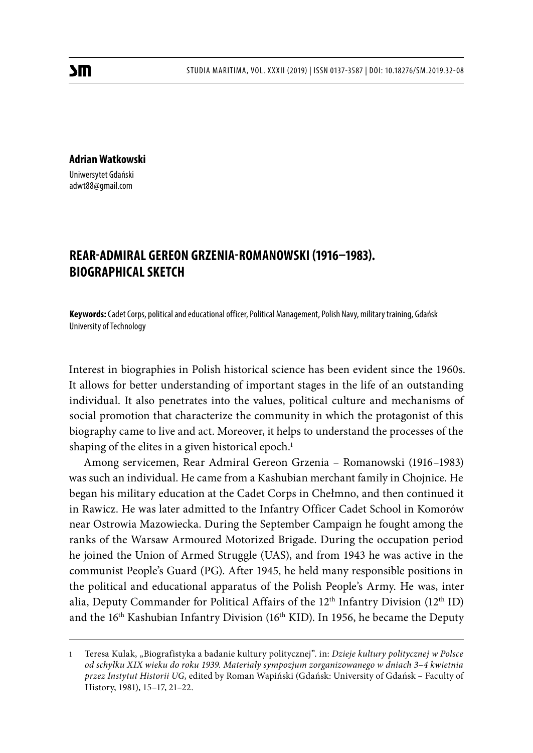**Adrian Watkowski** Uniwersytet Gdański adwt88@gmail.com

# **REAR-ADMIRAL GEREON GRZENIA-ROMANOWSKI (1916–1983). BIOGRAPHICAL SKETCH**

**Keywords:** Cadet Corps, political and educational officer, Political Management, Polish Navy, military training, Gdańsk University of Technology

Interest in biographies in Polish historical science has been evident since the 1960s. It allows for better understanding of important stages in the life of an outstanding individual. It also penetrates into the values, political culture and mechanisms of social promotion that characterize the community in which the protagonist of this biography came to live and act. Moreover, it helps to understand the processes of the shaping of the elites in a given historical epoch.<sup>1</sup>

Among servicemen, Rear Admiral Gereon Grzenia – Romanowski (1916–1983) was such an individual. He came from a Kashubian merchant family in Chojnice. He began his military education at the Cadet Corps in Chełmno, and then continued it in Rawicz. He was later admitted to the Infantry Officer Cadet School in Komorów near Ostrowia Mazowiecka. During the September Campaign he fought among the ranks of the Warsaw Armoured Motorized Brigade. During the occupation period he joined the Union of Armed Struggle (UAS), and from 1943 he was active in the communist People's Guard (PG). After 1945, he held many responsible positions in the political and educational apparatus of the Polish People's Army. He was, inter alia, Deputy Commander for Political Affairs of the  $12<sup>th</sup>$  Infantry Division ( $12<sup>th</sup>$  ID) and the 16th Kashubian Infantry Division (16th KID). In 1956, he became the Deputy

<sup>1</sup> Teresa Kulak, "Biografistyka a badanie kultury politycznej". in: *Dzieje kultury politycznej w Polsce od schyłku XIX wieku do roku 1939. Materiały sympozjum zorganizowanego w dniach 3–4 kwietnia przez Instytut Historii UG*, edited by Roman Wapiński (Gdańsk: University of Gdańsk – Faculty of History, 1981), 15–17, 21–22.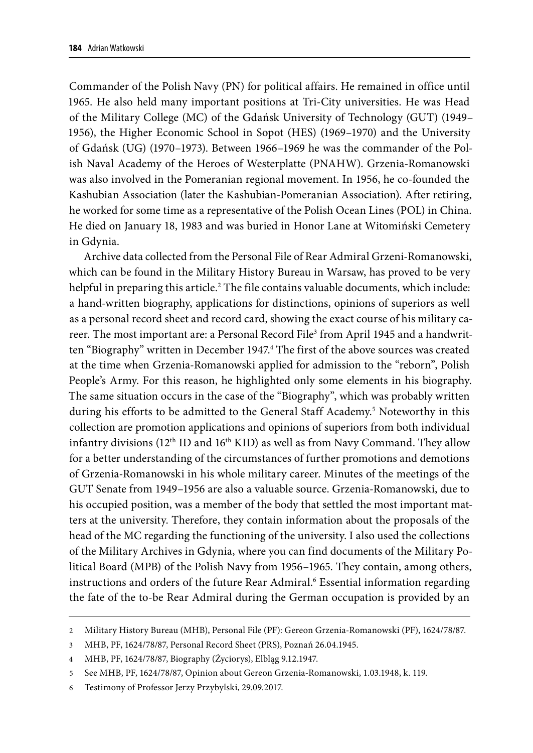Commander of the Polish Navy (PN) for political affairs. He remained in office until 1965. He also held many important positions at Tri-City universities. He was Head of the Military College (MC) of the Gdańsk University of Technology (GUT) (1949– 1956), the Higher Economic School in Sopot (HES) (1969–1970) and the University of Gdańsk (UG) (1970–1973). Between 1966–1969 he was the commander of the Polish Naval Academy of the Heroes of Westerplatte (PNAHW). Grzenia-Romanowski was also involved in the Pomeranian regional movement. In 1956, he co-founded the Kashubian Association (later the Kashubian-Pomeranian Association). After retiring, he worked for some time as a representative of the Polish Ocean Lines (POL) in China. He died on January 18, 1983 and was buried in Honor Lane at Witomiński Cemetery in Gdynia.

Archive data collected from the Personal File of Rear Admiral Grzeni-Romanowski, which can be found in the Military History Bureau in Warsaw, has proved to be very helpful in preparing this article.<sup>2</sup> The file contains valuable documents, which include: a hand-written biography, applications for distinctions, opinions of superiors as well as a personal record sheet and record card, showing the exact course of his military career. The most important are: a Personal Record File<sup>3</sup> from April 1945 and a handwritten "Biography" written in December 1947.<sup>4</sup> The first of the above sources was created at the time when Grzenia-Romanowski applied for admission to the "reborn", Polish People's Army. For this reason, he highlighted only some elements in his biography. The same situation occurs in the case of the "Biography", which was probably written during his efforts to be admitted to the General Staff Academy.5 Noteworthy in this collection are promotion applications and opinions of superiors from both individual infantry divisions  $(12<sup>th</sup>$  ID and  $16<sup>th</sup>$  KID) as well as from Navy Command. They allow for a better understanding of the circumstances of further promotions and demotions of Grzenia-Romanowski in his whole military career. Minutes of the meetings of the GUT Senate from 1949–1956 are also a valuable source. Grzenia-Romanowski, due to his occupied position, was a member of the body that settled the most important matters at the university. Therefore, they contain information about the proposals of the head of the MC regarding the functioning of the university. I also used the collections of the Military Archives in Gdynia, where you can find documents of the Military Political Board (MPB) of the Polish Navy from 1956–1965. They contain, among others, instructions and orders of the future Rear Admiral.<sup>6</sup> Essential information regarding the fate of the to-be Rear Admiral during the German occupation is provided by an

<sup>2</sup> Military History Bureau (MHB), Personal File (PF): Gereon Grzenia-Romanowski (PF), 1624/78/87.

<sup>3</sup> MHB, PF, 1624/78/87, Personal Record Sheet (PRS), Poznań 26.04.1945.

<sup>4</sup> MHB, PF, 1624/78/87, Biography (Życiorys), Elbląg 9.12.1947.

<sup>5</sup> See MHB, PF, 1624/78/87, Opinion about Gereon Grzenia-Romanowski, 1.03.1948, k. 119.

<sup>6</sup> Testimony of Professor Jerzy Przybylski, 29.09.2017.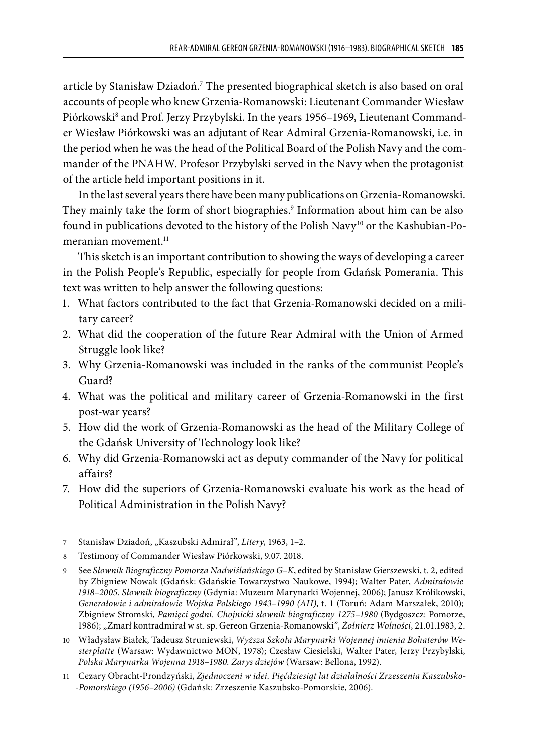article by Stanisław Dziadoń.7 The presented biographical sketch is also based on oral accounts of people who knew Grzenia-Romanowski: Lieutenant Commander Wiesław Piórkowski $^{\rm s}$  and Prof. Jerzy Przybylski. In the years 1956–1969, Lieutenant Commander Wiesław Piórkowski was an adjutant of Rear Admiral Grzenia-Romanowski, i.e. in the period when he was the head of the Political Board of the Polish Navy and the commander of the PNAHW. Profesor Przybylski served in the Navy when the protagonist of the article held important positions in it.

In the last several years there have been many publications on Grzenia-Romanowski. They mainly take the form of short biographies.9 Information about him can be also found in publications devoted to the history of the Polish Navy<sup>10</sup> or the Kashubian-Pomeranian movement.<sup>11</sup>

This sketch is an important contribution to showing the ways of developing a career in the Polish People's Republic, especially for people from Gdańsk Pomerania. This text was written to help answer the following questions:

- 1. What factors contributed to the fact that Grzenia-Romanowski decided on a military career?
- 2. What did the cooperation of the future Rear Admiral with the Union of Armed Struggle look like?
- 3. Why Grzenia-Romanowski was included in the ranks of the communist People's Guard?
- 4. What was the political and military career of Grzenia-Romanowski in the first post-war years?
- 5. How did the work of Grzenia-Romanowski as the head of the Military College of the Gdańsk University of Technology look like?
- 6. Why did Grzenia-Romanowski act as deputy commander of the Navy for political affairs?
- 7. How did the superiors of Grzenia-Romanowski evaluate his work as the head of Political Administration in the Polish Navy?

<sup>7</sup> Stanisław Dziadoń, "Kaszubski Admirał", *Litery*, 1963, 1–2.

<sup>8</sup> Testimony of Commander Wiesław Piórkowski, 9.07. 2018.

<sup>9</sup> See *Słownik Biograficzny Pomorza Nadwiślańskiego G–K*, edited by Stanisław Gierszewski, t. 2, edited by Zbigniew Nowak (Gdańsk: Gdańskie Towarzystwo Naukowe, 1994); Walter Pater, *Admirałowie 1918–2005. Słownik biograficzny* (Gdynia: Muzeum Marynarki Wojennej, 2006); Janusz Królikowski, *Generałowie i admirałowie Wojska Polskiego 1943–1990 (AH)*, t. 1 (Toruń: Adam Marszałek, 2010); Zbigniew Stromski, *Pamięci godni. Chojnicki słownik biograficzny 1275–1980* (Bydgoszcz: Pomorze, 1986); "Zmarł kontradmirał w st. sp. Gereon Grzenia-Romanowski", *Żołnierz Wolności*, 21.01.1983, 2.

<sup>10</sup> Władysław Białek, Tadeusz Struniewski, *Wyższa Szkoła Marynarki Wojennej imienia Bohaterów Westerplatte* (Warsaw: Wydawnictwo MON, 1978); Czesław Ciesielski, Walter Pater, Jerzy Przybylski, *Polska Marynarka Wojenna 1918–1980. Zarys dziejów* (Warsaw: Bellona, 1992).

<sup>11</sup> Cezary Obracht-Prondzyński, *Zjednoczeni w idei. Pięćdziesiąt lat działalności Zrzeszenia Kaszubsko- -Pomorskiego (1956–2006)* (Gdańsk: Zrzeszenie Kaszubsko-Pomorskie, 2006).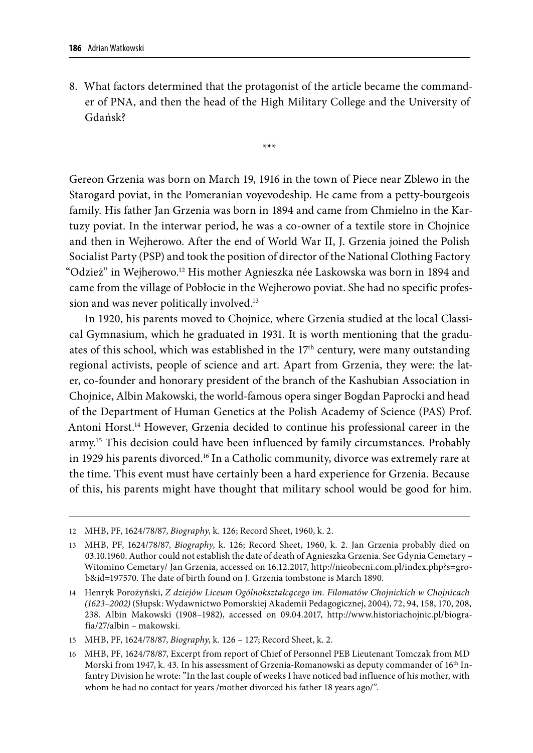8. What factors determined that the protagonist of the article became the commander of PNA, and then the head of the High Military College and the University of Gdańsk?

\*\*\*

Gereon Grzenia was born on March 19, 1916 in the town of Piece near Zblewo in the Starogard poviat, in the Pomeranian voyevodeship. He came from a petty-bourgeois family. His father Jan Grzenia was born in 1894 and came from Chmielno in the Kartuzy poviat. In the interwar period, he was a co-owner of a textile store in Chojnice and then in Wejherowo. After the end of World War II, J. Grzenia joined the Polish Socialist Party (PSP) and took the position of director of the National Clothing Factory "Odzież" in Wejherowo.12 His mother Agnieszka née Laskowska was born in 1894 and came from the village of Pobłocie in the Wejherowo poviat. She had no specific profession and was never politically involved.<sup>13</sup>

In 1920, his parents moved to Chojnice, where Grzenia studied at the local Classical Gymnasium, which he graduated in 1931. It is worth mentioning that the graduates of this school, which was established in the  $17<sup>th</sup>$  century, were many outstanding regional activists, people of science and art. Apart from Grzenia, they were: the later, co-founder and honorary president of the branch of the Kashubian Association in Chojnice, Albin Makowski, the world-famous opera singer Bogdan Paprocki and head of the Department of Human Genetics at the Polish Academy of Science (PAS) Prof. Antoni Horst.14 However, Grzenia decided to continue his professional career in the army.<sup>15</sup> This decision could have been influenced by family circumstances. Probably in 1929 his parents divorced.16 In a Catholic community, divorce was extremely rare at the time. This event must have certainly been a hard experience for Grzenia. Because of this, his parents might have thought that military school would be good for him.

<sup>12</sup> MHB, PF, 1624/78/87, *Biography*, k. 126; Record Sheet, 1960, k. 2.

<sup>13</sup> MHB, PF, 1624/78/87, *Biography*, k. 126; Record Sheet, 1960, k. 2. Jan Grzenia probably died on 03.10.1960. Author could not establish the date of death of Agnieszka Grzenia. See Gdynia Cemetary – Witomino Cemetary/ Jan Grzenia, accessed on 16.12.2017, http://nieobecni.com.pl/index.php?s=grob&id=197570. The date of birth found on J. Grzenia tombstone is March 1890.

<sup>14</sup> Henryk Porożyński, *Z dziejów Liceum Ogólnokształcącego im. Filomatów Chojnickich w Chojnicach (1623–2002)* (Słupsk: Wydawnictwo Pomorskiej Akademii Pedagogicznej, 2004), 72, 94, 158, 170, 208, 238. Albin Makowski (1908–1982), accessed on 09.04.2017, http://www.historiachojnic.pl/biografia/27/albin – makowski.

<sup>15</sup> MHB, PF, 1624/78/87, *Biography*, k. 126 – 127; Record Sheet, k. 2.

<sup>16</sup> MHB, PF, 1624/78/87, Excerpt from report of Chief of Personnel PEB Lieutenant Tomczak from MD Morski from 1947, k. 43. In his assessment of Grzenia-Romanowski as deputy commander of 16th Infantry Division he wrote: "In the last couple of weeks I have noticed bad influence of his mother, with whom he had no contact for years /mother divorced his father 18 years ago/".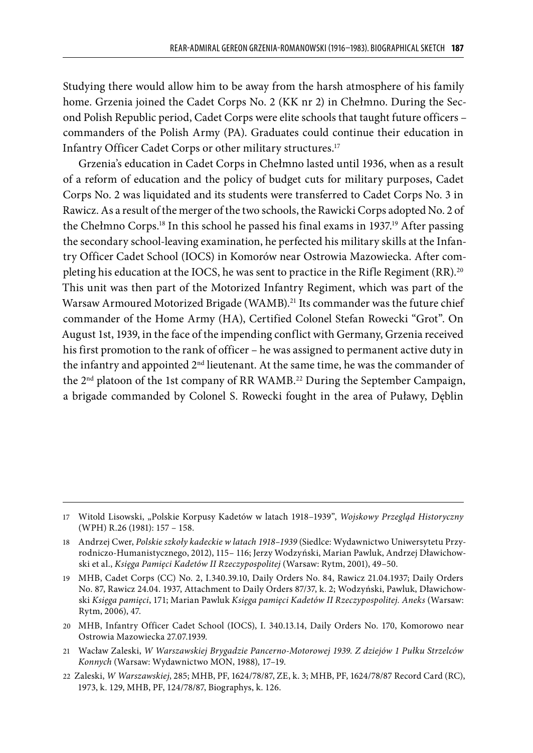Studying there would allow him to be away from the harsh atmosphere of his family home. Grzenia joined the Cadet Corps No. 2 (KK nr 2) in Chełmno. During the Second Polish Republic period, Cadet Corps were elite schools that taught future officers – commanders of the Polish Army (PA). Graduates could continue their education in Infantry Officer Cadet Corps or other military structures.17

Grzenia's education in Cadet Corps in Chełmno lasted until 1936, when as a result of a reform of education and the policy of budget cuts for military purposes, Cadet Corps No. 2 was liquidated and its students were transferred to Cadet Corps No. 3 in Rawicz. As a result of the merger of the two schools, the Rawicki Corps adopted No. 2 of the Chełmno Corps.<sup>18</sup> In this school he passed his final exams in 1937.<sup>19</sup> After passing the secondary school-leaving examination, he perfected his military skills at the Infantry Officer Cadet School (IOCS) in Komorów near Ostrowia Mazowiecka. After completing his education at the IOCS, he was sent to practice in the Rifle Regiment (RR).<sup>20</sup> This unit was then part of the Motorized Infantry Regiment, which was part of the Warsaw Armoured Motorized Brigade (WAMB).<sup>21</sup> Its commander was the future chief commander of the Home Army (HA), Certified Colonel Stefan Rowecki "Grot". On August 1st, 1939, in the face of the impending conflict with Germany, Grzenia received his first promotion to the rank of officer – he was assigned to permanent active duty in the infantry and appointed 2<sup>nd</sup> lieutenant. At the same time, he was the commander of the 2<sup>nd</sup> platoon of the 1st company of RR WAMB.<sup>22</sup> During the September Campaign, a brigade commanded by Colonel S. Rowecki fought in the area of Puławy, Dęblin

- 21 Wacław Zaleski, *W Warszawskiej Brygadzie Pancerno-Motorowej 1939. Z dziejów 1 Pułku Strzelców Konnych* (Warsaw: Wydawnictwo MON, 1988)*,* 17–19.
- 22 Zaleski, *W Warszawskiej*, 285; MHB, PF, 1624/78/87, ZE, k. 3; MHB, PF, 1624/78/87 Record Card (RC), 1973, k. 129, MHB, PF, 124/78/87, Biographys, k. 126.

<sup>17</sup> Witold Lisowski, "Polskie Korpusy Kadetów w latach 1918–1939", *Wojskowy Przegląd Historyczny* (WPH) R.26 (1981): 157 – 158.

<sup>18</sup> Andrzej Cwer, *Polskie szkoły kadeckie w latach 1918–1939* (Siedlce: Wydawnictwo Uniwersytetu Przyrodniczo-Humanistycznego, 2012), 115– 116; Jerzy Wodzyński, Marian Pawluk, Andrzej Dławichowski et al., *Księga Pamięci Kadetów II Rzeczypospolitej* (Warsaw: Rytm, 2001), 49–50.

<sup>19</sup> MHB, Cadet Corps (CC) No. 2, I.340.39.10, Daily Orders No. 84, Rawicz 21.04.1937; Daily Orders No. 87, Rawicz 24.04. 1937, Attachment to Daily Orders 87/37, k. 2; Wodzyński, Pawluk, Dławichowski *Księga pamięci*, 171; Marian Pawluk *Księga pamięci Kadetów II Rzeczypospolitej. Aneks* (Warsaw: Rytm, 2006), 47.

<sup>20</sup> MHB, Infantry Officer Cadet School (IOCS), I. 340.13.14, Daily Orders No. 170, Komorowo near Ostrowia Mazowiecka 27.07.1939.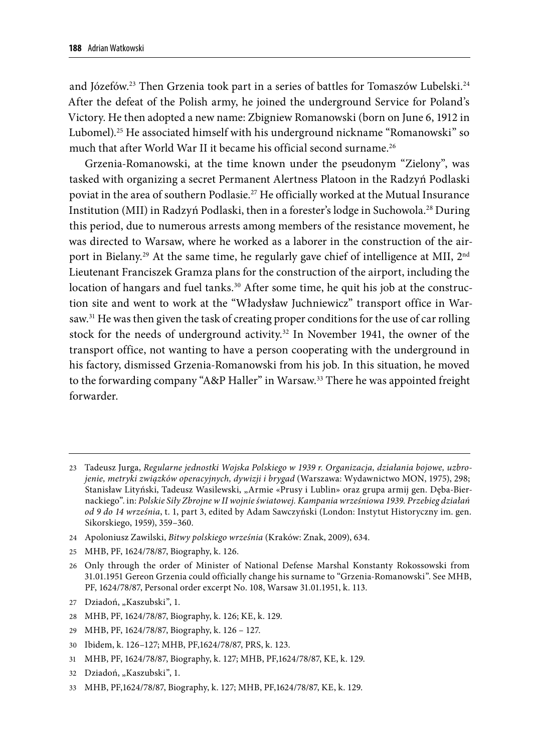and Józefów.<sup>23</sup> Then Grzenia took part in a series of battles for Tomaszów Lubelski.<sup>24</sup> After the defeat of the Polish army, he joined the underground Service for Poland's Victory. He then adopted a new name: Zbigniew Romanowski (born on June 6, 1912 in Lubomel).<sup>25</sup> He associated himself with his underground nickname "Romanowski" so much that after World War II it became his official second surname.<sup>26</sup>

Grzenia-Romanowski, at the time known under the pseudonym "Zielony", was tasked with organizing a secret Permanent Alertness Platoon in the Radzyń Podlaski poviat in the area of southern Podlasie.<sup>27</sup> He officially worked at the Mutual Insurance Institution (MII) in Radzyń Podlaski, then in a forester's lodge in Suchowola.28 During this period, due to numerous arrests among members of the resistance movement, he was directed to Warsaw, where he worked as a laborer in the construction of the airport in Bielany.<sup>29</sup> At the same time, he regularly gave chief of intelligence at MII, 2<sup>nd</sup> Lieutenant Franciszek Gramza plans for the construction of the airport, including the location of hangars and fuel tanks.<sup>30</sup> After some time, he quit his job at the construction site and went to work at the "Władysław Juchniewicz" transport office in Warsaw.<sup>31</sup> He was then given the task of creating proper conditions for the use of car rolling stock for the needs of underground activity.<sup>32</sup> In November 1941, the owner of the transport office, not wanting to have a person cooperating with the underground in his factory, dismissed Grzenia-Romanowski from his job. In this situation, he moved to the forwarding company "A&P Haller" in Warsaw.<sup>33</sup> There he was appointed freight forwarder.

- 24 Apoloniusz Zawilski, *Bitwy polskiego września* (Kraków: Znak, 2009), 634.
- 25 MHB, PF, 1624/78/87, Biography, k. 126.

- 27 Dziadoń, "Kaszubski", 1.
- 28 MHB, PF, 1624/78/87, Biography, k. 126; KE, k. 129.
- 29 MHB, PF, 1624/78/87, Biography, k. 126 127.
- 30 Ibidem, k. 126–127; MHB, PF,1624/78/87, PRS, k. 123.
- 31 MHB, PF, 1624/78/87, Biography, k. 127; MHB, PF,1624/78/87, KE, k. 129.
- 32 Dziadoń, "Kaszubski", 1.
- 33 MHB, PF,1624/78/87, Biography, k. 127; MHB, PF,1624/78/87, KE, k. 129.

<sup>23</sup> Tadeusz Jurga, *Regularne jednostki Wojska Polskiego w 1939 r. Organizacja, działania bojowe, uzbrojenie, metryki związków operacyjnych, dywizji i brygad* (Warszawa: Wydawnictwo MON, 1975), 298; Stanisław Lityński, Tadeusz Wasilewski, "Armie «Prusy i Lublin» oraz grupa armij gen. Dęba-Biernackiego". in: *Polskie Siły Zbrojne w II wojnie światowej. Kampania wrześniowa 1939. Przebieg działań od 9 do 14 września*, t. 1, part 3, edited by Adam Sawczyński (London: Instytut Historyczny im. gen. Sikorskiego, 1959), 359–360.

<sup>26</sup> Only through the order of Minister of National Defense Marshal Konstanty Rokossowski from 31.01.1951 Gereon Grzenia could officially change his surname to "Grzenia-Romanowski". See MHB, PF, 1624/78/87, Personal order excerpt No. 108, Warsaw 31.01.1951, k. 113.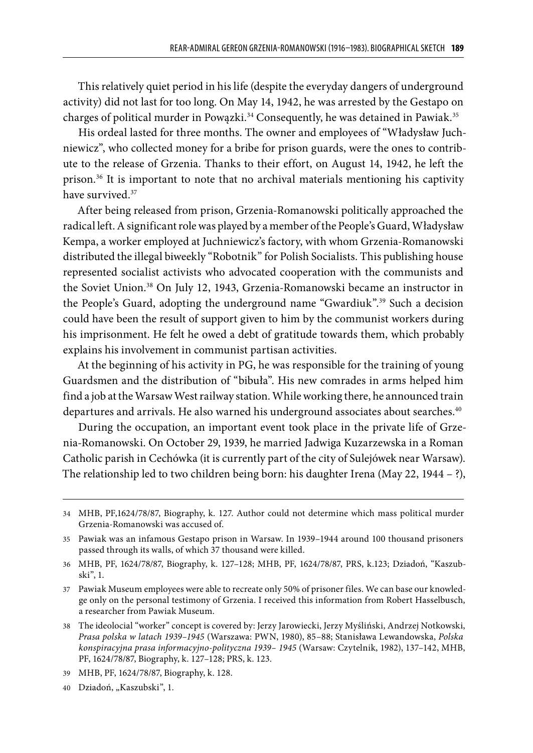This relatively quiet period in his life (despite the everyday dangers of underground activity) did not last for too long. On May 14, 1942, he was arrested by the Gestapo on charges of political murder in Powązki.<sup>34</sup> Consequently, he was detained in Pawiak.<sup>35</sup>

His ordeal lasted for three months. The owner and employees of "Władysław Juchniewicz", who collected money for a bribe for prison guards, were the ones to contribute to the release of Grzenia. Thanks to their effort, on August 14, 1942, he left the prison.36 It is important to note that no archival materials mentioning his captivity have survived.<sup>37</sup>

After being released from prison, Grzenia-Romanowski politically approached the radical left. Asignificant role was played by a member of the People's Guard, Władysław Kempa, a worker employed at Juchniewicz's factory, with whom Grzenia-Romanowski distributed the illegal biweekly "Robotnik" for Polish Socialists. This publishing house represented socialist activists who advocated cooperation with the communists and the Soviet Union.38 On July 12, 1943, Grzenia-Romanowski became an instructor in the People's Guard, adopting the underground name "Gwardiuk".39 Such a decision could have been the result of support given to him by the communist workers during his imprisonment. He felt he owed a debt of gratitude towards them, which probably explains his involvement in communist partisan activities.

At the beginning of his activity in PG, he was responsible for the training of young Guardsmen and the distribution of "bibuła". His new comrades in arms helped him find a job at the Warsaw West railway station. While working there, he announced train departures and arrivals. He also warned his underground associates about searches.<sup>40</sup>

During the occupation, an important event took place in the private life of Grzenia-Romanowski. On October 29, 1939, he married Jadwiga Kuzarzewska in a Roman Catholic parish in Cechówka (it is currently part of the city of Sulejówek near Warsaw). The relationship led to two children being born: his daughter Irena (May 22, 1944 – ?),

<sup>34</sup> MHB, PF,1624/78/87, Biography, k. 127. Author could not determine which mass political murder Grzenia-Romanowski was accused of.

<sup>35</sup> Pawiak was an infamous Gestapo prison in Warsaw. In 1939–1944 around 100 thousand prisoners passed through its walls, of which 37 thousand were killed.

<sup>36</sup> MHB, PF, 1624/78/87, Biography, k. 127–128; MHB, PF, 1624/78/87, PRS, k.123; Dziadoń, "Kaszubski", 1.

<sup>37</sup> Pawiak Museum employees were able to recreate only 50% of prisoner files. We can base our knowledge only on the personal testimony of Grzenia. I received this information from Robert Hasselbusch, a researcher from Pawiak Museum.

<sup>38</sup> The ideolocial "worker" concept is covered by: Jerzy Jarowiecki, Jerzy Myśliński, Andrzej Notkowski, *Prasa polska w latach 1939–1945* (Warszawa: PWN, 1980), 85–88; Stanisława Lewandowska, *Polska konspiracyjna prasa informacyjno-polityczna 1939– 1945* (Warsaw: Czytelnik, 1982), 137–142, MHB, PF, 1624/78/87, Biography, k. 127–128; PRS, k. 123.

<sup>39</sup> MHB, PF, 1624/78/87, Biography, k. 128.

<sup>40</sup> Dziadoń, "Kaszubski", 1.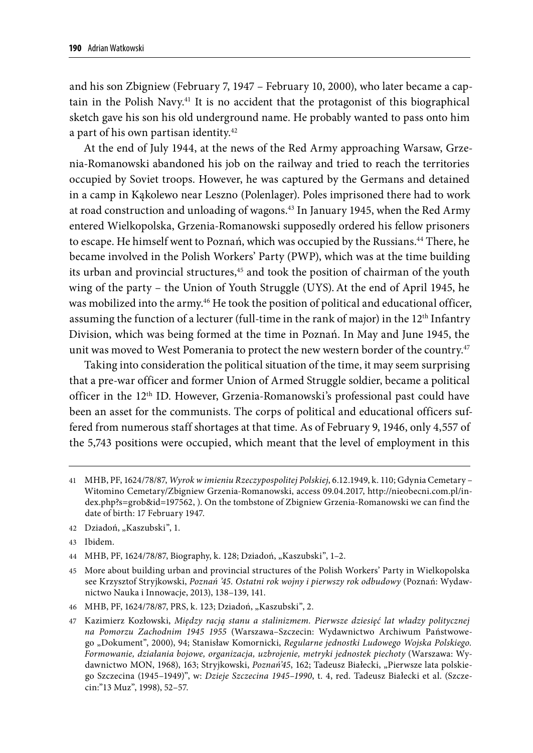and his son Zbigniew (February 7, 1947 – February 10, 2000), who later became a captain in the Polish Navy.<sup>41</sup> It is no accident that the protagonist of this biographical sketch gave his son his old underground name. He probably wanted to pass onto him a part of his own partisan identity.<sup>42</sup>

At the end of July 1944, at the news of the Red Army approaching Warsaw, Grzenia-Romanowski abandoned his job on the railway and tried to reach the territories occupied by Soviet troops. However, he was captured by the Germans and detained in a camp in Kąkolewo near Leszno (Polenlager). Poles imprisoned there had to work at road construction and unloading of wagons.43 In January 1945, when the Red Army entered Wielkopolska, Grzenia-Romanowski supposedly ordered his fellow prisoners to escape. He himself went to Poznań, which was occupied by the Russians.44 There, he became involved in the Polish Workers' Party (PWP), which was at the time building its urban and provincial structures,<sup>45</sup> and took the position of chairman of the youth wing of the party – the Union of Youth Struggle (UYS).At the end of April 1945, he was mobilized into the army.<sup>46</sup> He took the position of political and educational officer, assuming the function of a lecturer (full-time in the rank of major) in the  $12<sup>th</sup>$  Infantry Division, which was being formed at the time in Poznań. In May and June 1945, the unit was moved to West Pomerania to protect the new western border of the country.<sup>47</sup>

Taking into consideration the political situation of the time, it may seem surprising that a pre-war officer and former Union of Armed Struggle soldier, became a political officer in the 12th ID. However, Grzenia-Romanowski's professional past could have been an asset for the communists. The corps of political and educational officers suffered from numerous staff shortages at that time. As of February 9, 1946, only 4,557 of the 5,743 positions were occupied, which meant that the level of employment in this

42 Dziadoń, "Kaszubski", 1.

43 Ibidem.

44 MHB, PF, 1624/78/87, Biography, k. 128; Dziadoń, "Kaszubski", 1-2.

45 More about building urban and provincial structures of the Polish Workers' Party in Wielkopolska see Krzysztof Stryjkowski, *Poznań '45. Ostatni rok wojny i pierwszy rok odbudowy* (Poznań: Wydawnictwo Nauka i Innowacje, 2013), 138–139, 141.

46 MHB, PF, 1624/78/87, PRS, k. 123; Dziadoń, "Kaszubski", 2.

47 Kazimierz Kozłowski, *Między racją stanu a stalinizmem. Pierwsze dziesięć lat władzy politycznej na Pomorzu Zachodnim 1945 1955* (Warszawa–Szczecin: Wydawnictwo Archiwum Państwowego "Dokument", 2000), 94; Stanisław Komornicki, *Regularne jednostki Ludowego Wojska Polskiego*. *Formowanie, działania bojowe, organizacja, uzbrojenie, metryki jednostek piechoty* (Warszawa: Wydawnictwo MON, 1968), 163; Stryjkowski, Poznań'45, 162; Tadeusz Białecki, "Pierwsze lata polskiego Szczecina (1945–1949)", w: *Dzieje Szczecina 1945–1990*, t. 4, red. Tadeusz Białecki et al. (Szczecin:"13 Muz", 1998), 52–57.

<sup>41</sup> MHB, PF, 1624/78/87, *Wyrok w imieniu Rzeczypospolitej Polskiej*, 6.12.1949, k. 110; Gdynia Cemetary – Witomino Cemetary/Zbigniew Grzenia-Romanowski, access 09.04.2017, http://nieobecni.com.pl/index.php?s=grob&id=197562, ). On the tombstone of Zbigniew Grzenia-Romanowski we can find the date of birth: 17 February 1947.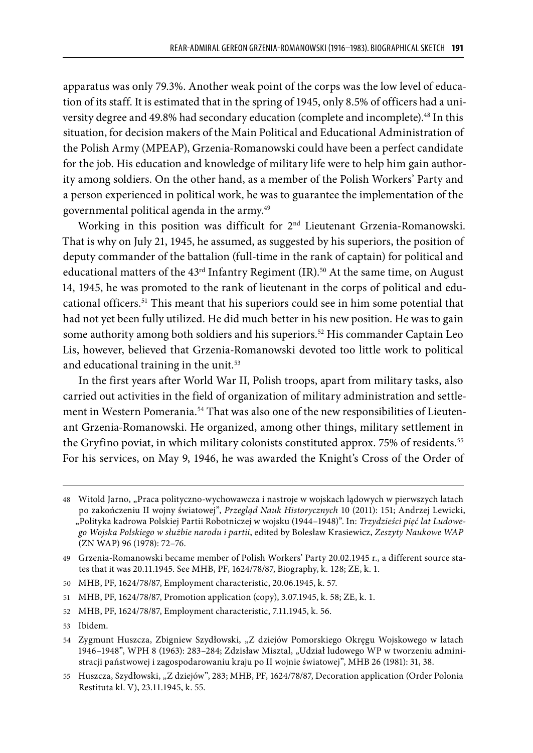apparatus was only 79.3%. Another weak point of the corps was the low level of education of its staff. It is estimated that in the spring of 1945, only 8.5% of officers had a university degree and 49.8% had secondary education (complete and incomplete).<sup>48</sup> In this situation, for decision makers of the Main Political and Educational Administration of the Polish Army (MPEAP), Grzenia-Romanowski could have been a perfect candidate for the job. His education and knowledge of military life were to help him gain authority among soldiers. On the other hand, as a member of the Polish Workers' Party and a person experienced in political work, he was to guarantee the implementation of the governmental political agenda in the army.49

Working in this position was difficult for 2<sup>nd</sup> Lieutenant Grzenia-Romanowski. That is why on July 21, 1945, he assumed, as suggested by his superiors, the position of deputy commander of the battalion (full-time in the rank of captain) for political and educational matters of the 43<sup>rd</sup> Infantry Regiment (IR).<sup>50</sup> At the same time, on August 14, 1945, he was promoted to the rank of lieutenant in the corps of political and educational officers.51 This meant that his superiors could see in him some potential that had not yet been fully utilized. He did much better in his new position. He was to gain some authority among both soldiers and his superiors.<sup>52</sup> His commander Captain Leo Lis, however, believed that Grzenia-Romanowski devoted too little work to political and educational training in the unit.<sup>53</sup>

In the first years after World War II, Polish troops, apart from military tasks, also carried out activities in the field of organization of military administration and settlement in Western Pomerania.<sup>54</sup> That was also one of the new responsibilities of Lieutenant Grzenia-Romanowski. He organized, among other things, military settlement in the Gryfino poviat, in which military colonists constituted approx. 75% of residents.<sup>55</sup> For his services, on May 9, 1946, he was awarded the Knight's Cross of the Order of

<sup>48</sup> Witold Jarno, "Praca polityczno-wychowawcza i nastroje w wojskach lądowych w pierwszych latach po zakończeniu II wojny światowej", *Przegląd Nauk Historycznych* 10 (2011): 151; Andrzej Lewicki, "Polityka kadrowa Polskiej Partii Robotniczej w wojsku (1944–1948)". In: *Trzydzieści pięć lat Ludowego Wojska Polskiego w służbie narodu i partii*, edited by Bolesław Krasiewicz, *Zeszyty Naukowe WAP* (ZN WAP) 96 (1978): 72–76.

<sup>49</sup> Grzenia-Romanowski became member of Polish Workers' Party 20.02.1945 r., a different source states that it was 20.11.1945. See MHB, PF, 1624/78/87, Biography, k. 128; ZE, k. 1.

<sup>50</sup> MHB, PF, 1624/78/87, Employment characteristic, 20.06.1945, k. 57.

<sup>51</sup> MHB, PF, 1624/78/87, Promotion application (copy), 3.07.1945, k. 58; ZE, k. 1.

<sup>52</sup> MHB, PF, 1624/78/87, Employment characteristic, 7.11.1945, k. 56.

<sup>53</sup> Ibidem.

<sup>54</sup> Zygmunt Huszcza, Zbigniew Szydłowski, "Z dziejów Pomorskiego Okręgu Wojskowego w latach 1946-1948", WPH 8 (1963): 283-284; Zdzisław Misztal, "Udział ludowego WP w tworzeniu administracji państwowej i zagospodarowaniu kraju po II wojnie światowej", MHB 26 (1981): 31, 38.

<sup>55</sup> Huszcza, Szydłowski, "Z dziejów", 283; MHB, PF, 1624/78/87, Decoration application (Order Polonia Restituta kl. V), 23.11.1945, k. 55.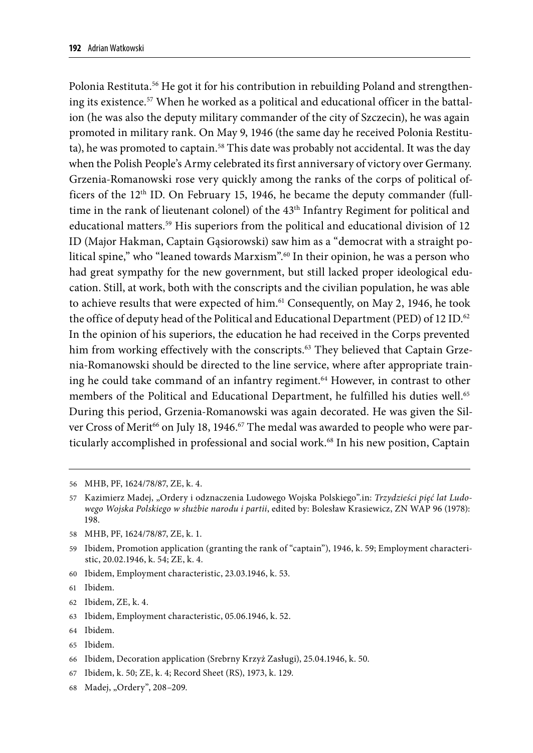Polonia Restituta.<sup>56</sup> He got it for his contribution in rebuilding Poland and strengthening its existence.<sup>57</sup> When he worked as a political and educational officer in the battalion (he was also the deputy military commander of the city of Szczecin), he was again promoted in military rank. On May 9, 1946 (the same day he received Polonia Restituta), he was promoted to captain.<sup>58</sup> This date was probably not accidental. It was the day when the Polish People's Army celebrated its first anniversary of victory over Germany. Grzenia-Romanowski rose very quickly among the ranks of the corps of political officers of the  $12<sup>th</sup>$  ID. On February 15, 1946, he became the deputy commander (fulltime in the rank of lieutenant colonel) of the 43<sup>th</sup> Infantry Regiment for political and educational matters.<sup>59</sup> His superiors from the political and educational division of 12 ID (Major Hakman, Captain Gąsiorowski) saw him as a "democrat with a straight political spine," who "leaned towards Marxism".60 In their opinion, he was a person who had great sympathy for the new government, but still lacked proper ideological education. Still, at work, both with the conscripts and the civilian population, he was able to achieve results that were expected of him.<sup>61</sup> Consequently, on May 2, 1946, he took the office of deputy head of the Political and Educational Department (PED) of 12 ID.<sup>62</sup> In the opinion of his superiors, the education he had received in the Corps prevented him from working effectively with the conscripts.<sup>63</sup> They believed that Captain Grzenia-Romanowski should be directed to the line service, where after appropriate training he could take command of an infantry regiment.<sup>64</sup> However, in contrast to other members of the Political and Educational Department, he fulfilled his duties well.<sup>65</sup> During this period, Grzenia-Romanowski was again decorated. He was given the Silver Cross of Merit<sup>66</sup> on July 18, 1946.<sup>67</sup> The medal was awarded to people who were particularly accomplished in professional and social work.68 In his new position, Captain

58 MHB, PF, 1624/78/87, ZE, k. 1.

60 Ibidem, Employment characteristic, 23.03.1946, k. 53.

- 62 Ibidem, ZE, k. 4.
- 63 Ibidem, Employment characteristic, 05.06.1946, k. 52.
- 64 Ibidem.
- 65 Ibidem.
- 66 Ibidem, Decoration application (Srebrny Krzyż Zasługi), 25.04.1946, k. 50.
- 67 Ibidem, k. 50; ZE, k. 4; Record Sheet (RS), 1973, k. 129.
- 68 Madej, "Ordery", 208-209.

<sup>56</sup> MHB, PF, 1624/78/87, ZE, k. 4.

<sup>57</sup> Kazimierz Madej, "Ordery i odznaczenia Ludowego Wojska Polskiego".in: *Trzydzieści pięć lat Ludowego Wojska Polskiego w służbie narodu i partii*, edited by: Bolesław Krasiewicz, ZN WAP 96 (1978): 198.

<sup>59</sup> Ibidem, Promotion application (granting the rank of "captain"), 1946, k. 59; Employment characteristic, 20.02.1946, k. 54; ZE, k. 4.

<sup>61</sup> Ibidem.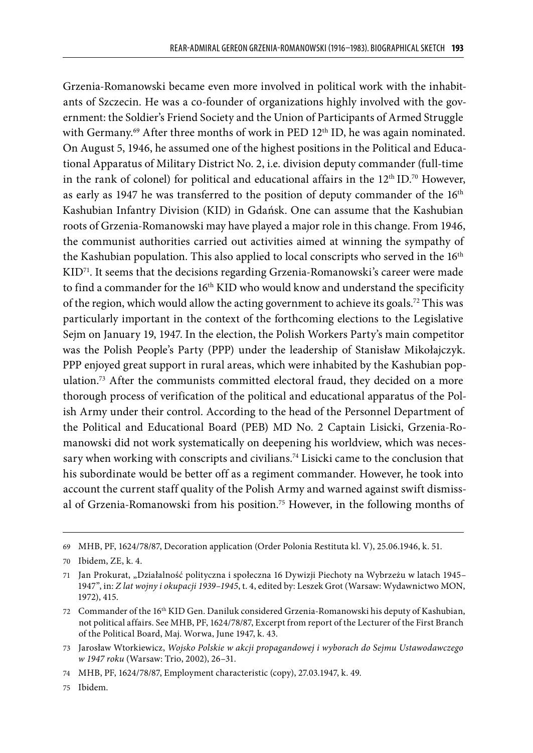Grzenia-Romanowski became even more involved in political work with the inhabitants of Szczecin. He was a co-founder of organizations highly involved with the government: the Soldier's Friend Society and the Union of Participants of Armed Struggle with Germany.<sup>69</sup> After three months of work in PED 12<sup>th</sup> ID, he was again nominated. On August 5, 1946, he assumed one of the highest positions in the Political and Educational Apparatus of Military District No. 2, i.e. division deputy commander (full-time in the rank of colonel) for political and educational affairs in the  $12<sup>th</sup>$  ID.<sup>70</sup> However, as early as 1947 he was transferred to the position of deputy commander of the 16<sup>th</sup> Kashubian Infantry Division (KID) in Gdańsk. One can assume that the Kashubian roots of Grzenia-Romanowski may have played a major role in this change. From 1946, the communist authorities carried out activities aimed at winning the sympathy of the Kashubian population. This also applied to local conscripts who served in the 16th  $KID<sup>71</sup>$ . It seems that the decisions regarding Grzenia-Romanowski's career were made to find a commander for the 16<sup>th</sup> KID who would know and understand the specificity of the region, which would allow the acting government to achieve its goals.<sup>72</sup> This was particularly important in the context of the forthcoming elections to the Legislative Sejm on January 19, 1947. In the election, the Polish Workers Party's main competitor was the Polish People's Party (PPP) under the leadership of Stanisław Mikołajczyk. PPP enjoyed great support in rural areas, which were inhabited by the Kashubian population.73 After the communists committed electoral fraud, they decided on a more thorough process of verification of the political and educational apparatus of the Polish Army under their control. According to the head of the Personnel Department of the Political and Educational Board (PEB) MD No. 2 Captain Lisicki, Grzenia-Romanowski did not work systematically on deepening his worldview, which was necessary when working with conscripts and civilians.<sup>74</sup> Lisicki came to the conclusion that his subordinate would be better off as a regiment commander. However, he took into account the current staff quality of the Polish Army and warned against swift dismissal of Grzenia-Romanowski from his position.75 However, in the following months of

<sup>69</sup> MHB, PF, 1624/78/87, Decoration application (Order Polonia Restituta kl. V), 25.06.1946, k. 51.

<sup>70</sup> Ibidem, ZE, k. 4.

<sup>71</sup> Jan Prokurat, "Działalność polityczna i społeczna 16 Dywizji Piechoty na Wybrzeżu w latach 1945– 1947", in: *Z lat wojny i okupacji 1939–1945*, t. 4, edited by: Leszek Grot (Warsaw: Wydawnictwo MON, 1972), 415.

<sup>72</sup> Commander of the 16th KID Gen. Daniluk considered Grzenia-Romanowski his deputy of Kashubian, not political affairs. See MHB, PF, 1624/78/87, Excerpt from report of the Lecturer of the First Branch of the Political Board, Maj. Worwa, June 1947, k. 43.

<sup>73</sup> Jarosław Wtorkiewicz, *Wojsko Polskie w akcji propagandowej i wyborach do Sejmu Ustawodawczego w 1947 roku* (Warsaw: Trio, 2002), 26–31.

<sup>74</sup> MHB, PF, 1624/78/87, Employment characteristic (copy), 27.03.1947, k. 49.

<sup>75</sup> Ibidem.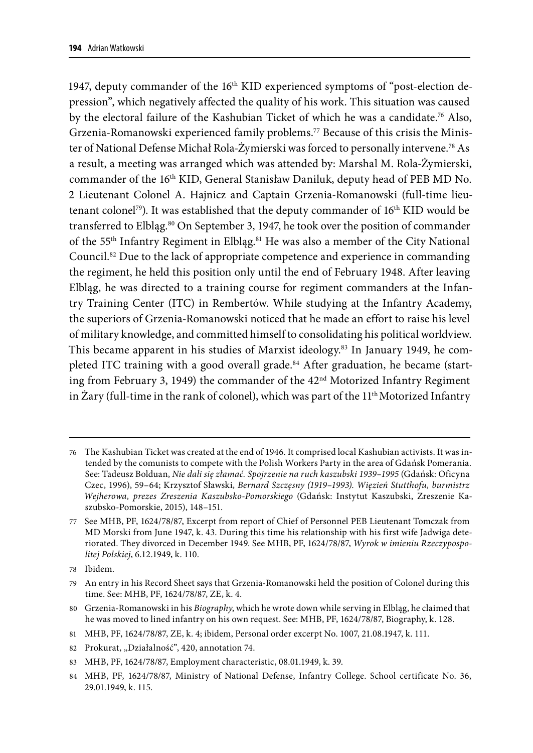1947, deputy commander of the  $16<sup>th</sup> KID$  experienced symptoms of "post-election depression", which negatively affected the quality of his work. This situation was caused by the electoral failure of the Kashubian Ticket of which he was a candidate.76 Also, Grzenia-Romanowski experienced family problems.77 Because of this crisis the Minister of National Defense Michał Rola-Żymierski was forced to personally intervene.78 As a result, a meeting was arranged which was attended by: Marshal M. Rola-Żymierski, commander of the 16<sup>th</sup> KID, General Stanisław Daniluk, deputy head of PEB MD No. 2 Lieutenant Colonel A. Hajnicz and Captain Grzenia-Romanowski (full-time lieutenant colonel<sup>79</sup>). It was established that the deputy commander of 16<sup>th</sup> KID would be transferred to Elbląg.<sup>80</sup> On September 3, 1947, he took over the position of commander of the 55<sup>th</sup> Infantry Regiment in Elbląg.<sup>81</sup> He was also a member of the City National Council.82 Due to the lack of appropriate competence and experience in commanding the regiment, he held this position only until the end of February 1948. After leaving Elbląg, he was directed to a training course for regiment commanders at the Infantry Training Center (ITC) in Rembertów. While studying at the Infantry Academy, the superiors of Grzenia-Romanowski noticed that he made an effort to raise his level of military knowledge, and committed himself to consolidating his political worldview. This became apparent in his studies of Marxist ideology.83 In January 1949, he completed ITC training with a good overall grade.84 After graduation, he became (starting from February 3, 1949) the commander of the 42<sup>nd</sup> Motorized Infantry Regiment in Żary (full-time in the rank of colonel), which was part of the  $11<sup>th</sup>$  Motorized Infantry

78 Ibidem.

80 Grzenia-Romanowski in his *Biography*, which he wrote down while serving in Elbląg, he claimed that he was moved to lined infantry on his own request. See: MHB, PF, 1624/78/87, Biography, k. 128.

<sup>76</sup> The Kashubian Ticket was created at the end of 1946. It comprised local Kashubian activists. It was intended by the comunists to compete with the Polish Workers Party in the area of Gdańsk Pomerania. See: Tadeusz Bolduan, *Nie dali się złamać. Spojrzenie na ruch kaszubski 1939–1995* (Gdańsk: Oficyna Czec, 1996), 59–64; Krzysztof Sławski, *Bernard Szczęsny (1919–1993). Więzień Stutthofu, burmistrz Wejherowa, prezes Zreszenia Kaszubsko-Pomorskiego* (Gdańsk: Instytut Kaszubski, Zreszenie Kaszubsko-Pomorskie, 2015), 148–151.

<sup>77</sup> See MHB, PF, 1624/78/87, Excerpt from report of Chief of Personnel PEB Lieutenant Tomczak from MD Morski from June 1947, k. 43. During this time his relationship with his first wife Jadwiga deteriorated. They divorced in December 1949. See MHB, PF, 1624/78/87, *Wyrok w imieniu Rzeczypospolitej Polskiej*, 6.12.1949, k. 110.

<sup>79</sup> An entry in his Record Sheet says that Grzenia-Romanowski held the position of Colonel during this time. See: MHB, PF, 1624/78/87, ZE, k. 4.

<sup>81</sup> MHB, PF, 1624/78/87, ZE, k. 4; ibidem, Personal order excerpt No. 1007, 21.08.1947, k. 111.

<sup>82</sup> Prokurat, "Działalność", 420, annotation 74.

<sup>83</sup> MHB, PF, 1624/78/87, Employment characteristic, 08.01.1949, k. 39.

<sup>84</sup> MHB, PF, 1624/78/87, Ministry of National Defense, Infantry College. School certificate No. 36, 29.01.1949, k. 115.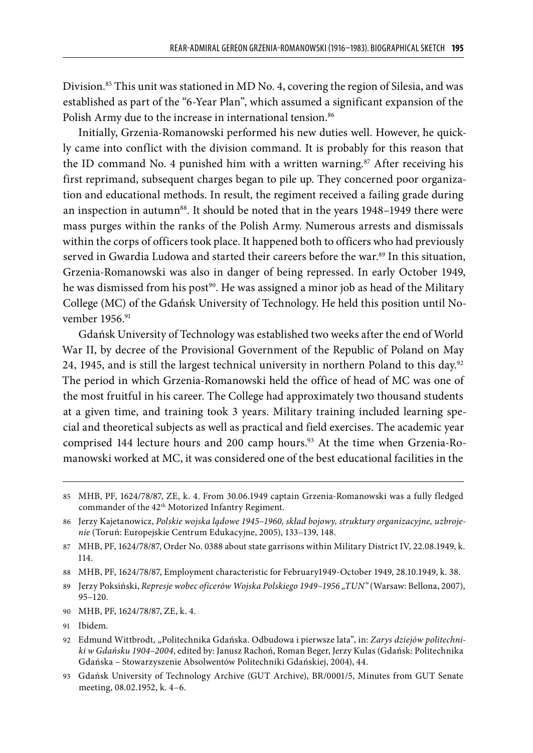Division.85 This unit was stationed in MD No. 4, covering the region of Silesia, and was established as part of the "6-Year Plan", which assumed a significant expansion of the Polish Army due to the increase in international tension.<sup>86</sup>

Initially, Grzenia-Romanowski performed his new duties well. However, he quickly came into conflict with the division command. It is probably for this reason that the ID command No. 4 punished him with a written warning.<sup>87</sup> After receiving his first reprimand, subsequent charges began to pile up. They concerned poor organization and educational methods. In result, the regiment received a failing grade during an inspection in autumn<sup>88</sup>. It should be noted that in the years 1948–1949 there were mass purges within the ranks of the Polish Army. Numerous arrests and dismissals within the corps of officers took place. It happened both to officers who had previously served in Gwardia Ludowa and started their careers before the war. $89$  In this situation, Grzenia-Romanowski was also in danger of being repressed. In early October 1949, he was dismissed from his post<sup>90</sup>. He was assigned a minor job as head of the Military College (MC) of the Gdańsk University of Technology. He held this position until November 1956.<sup>91</sup>

Gdańsk University of Technology was established two weeks after the end of World War II, by decree of the Provisional Government of the Republic of Poland on May 24, 1945, and is still the largest technical university in northern Poland to this day.<sup>92</sup> The period in which Grzenia-Romanowski held the office of head of MC was one of the most fruitful in his career. The College had approximately two thousand students at a given time, and training took 3 years. Military training included learning special and theoretical subjects as well as practical and field exercises. The academic year comprised 144 lecture hours and 200 camp hours.<sup>93</sup> At the time when Grzenia-Romanowski worked at MC, it was considered one of the best educational facilities in the

<sup>85</sup> MHB, PF, 1624/78/87, ZE, k. 4. From 30.06.1949 captain Grzenia-Romanowski was a fully fledged commander of the 42<sup>th</sup> Motorized Infantry Regiment.

<sup>86</sup> Jerzy Kajetanowicz, *Polskie wojska lądowe 1945–1960, skład bojowy, struktury organizacyjne, uzbrojenie* (Toruń: Europejskie Centrum Edukacyjne, 2005), 133–139, 148.

<sup>87</sup> MHB, PF, 1624/78/87, Order No. 0388 about state garrisons within Military District IV, 22.08.1949, k. 114.

<sup>88</sup> MHB, PF, 1624/78/87, Employment characteristic for February1949-October 1949, 28.10.1949, k. 38.

<sup>89</sup> Jerzy Poksiński, *Represje wobec oficerów Wojska Polskiego 1949–1956 "TUN"* (Warsaw: Bellona, 2007), 95–120.

<sup>90</sup> MHB, PF, 1624/78/87, ZE, k. 4.

<sup>91</sup> Ibidem*.*

<sup>92</sup> Edmund Wittbrodt, "Politechnika Gdańska. Odbudowa i pierwsze lata", in: *Zarys dziejów politechniki w Gdańsku 1904–2004*, edited by: Janusz Rachoń, Roman Beger, Jerzy Kulas (Gdańsk: Politechnika Gdańska – Stowarzyszenie Absolwentów Politechniki Gdańskiej, 2004), 44.

<sup>93</sup> Gdańsk University of Technology Archive (GUT Archive), BR/0001/5, Minutes from GUT Senate meeting, 08.02.1952, k. 4–6.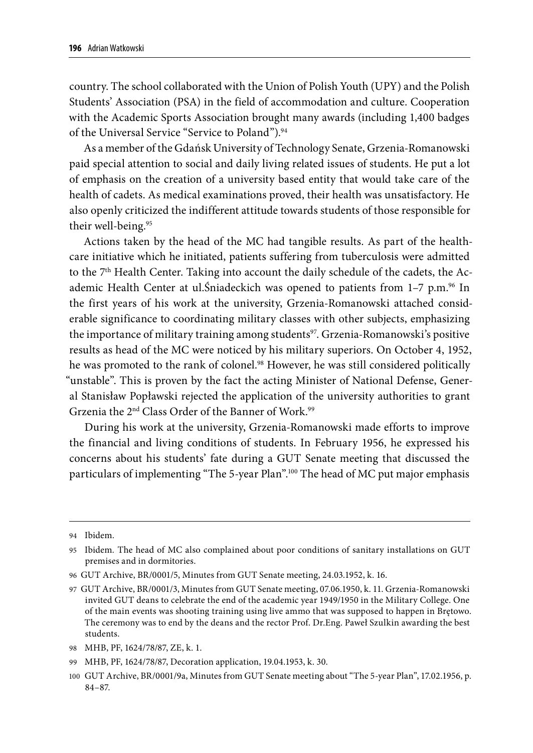country. The school collaborated with the Union of Polish Youth (UPY) and the Polish Students' Association (PSA) in the field of accommodation and culture. Cooperation with the Academic Sports Association brought many awards (including 1,400 badges of the Universal Service "Service to Poland").<sup>94</sup>

As a member of the Gdańsk University of Technology Senate, Grzenia-Romanowski paid special attention to social and daily living related issues of students. He put a lot of emphasis on the creation of a university based entity that would take care of the health of cadets. As medical examinations proved, their health was unsatisfactory. He also openly criticized the indifferent attitude towards students of those responsible for their well-being.95

Actions taken by the head of the MC had tangible results. As part of the healthcare initiative which he initiated, patients suffering from tuberculosis were admitted to the 7<sup>th</sup> Health Center. Taking into account the daily schedule of the cadets, the Academic Health Center at ul. Sniadeckich was opened to patients from  $1-7$  p.m.<sup>96</sup> In the first years of his work at the university, Grzenia-Romanowski attached considerable significance to coordinating military classes with other subjects, emphasizing the importance of military training among students<sup>97</sup>. Grzenia-Romanowski's positive results as head of the MC were noticed by his military superiors. On October 4, 1952, he was promoted to the rank of colonel.<sup>98</sup> However, he was still considered politically "unstable". This is proven by the fact the acting Minister of National Defense, General Stanisław Popławski rejected the application of the university authorities to grant Grzenia the 2<sup>nd</sup> Class Order of the Banner of Work.<sup>99</sup>

During his work at the university, Grzenia-Romanowski made efforts to improve the financial and living conditions of students. In February 1956, he expressed his concerns about his students' fate during a GUT Senate meeting that discussed the particulars of implementing "The 5-year Plan".100 The head of MC put major emphasis

<sup>94</sup> Ibidem.

<sup>95</sup> Ibidem*.* The head of MC also complained about poor conditions of sanitary installations on GUT premises and in dormitories.

<sup>96</sup> GUT Archive, BR/0001/5, Minutes from GUT Senate meeting, 24.03.1952, k. 16.

<sup>97</sup> GUT Archive, BR/0001/3, Minutes from GUT Senate meeting, 07.06.1950, k. 11. Grzenia-Romanowski invited GUT deans to celebrate the end of the academic year 1949/1950 in the Military College. One of the main events was shooting training using live ammo that was supposed to happen in Brętowo. The ceremony was to end by the deans and the rector Prof. Dr.Eng. Paweł Szulkin awarding the best students.

<sup>98</sup> MHB, PF, 1624/78/87, ZE, k. 1.

<sup>99</sup> MHB, PF, 1624/78/87, Decoration application, 19.04.1953, k. 30.

<sup>100</sup> GUT Archive, BR/0001/9a, Minutes from GUT Senate meeting about "The 5-year Plan", 17.02.1956, p. 84–87.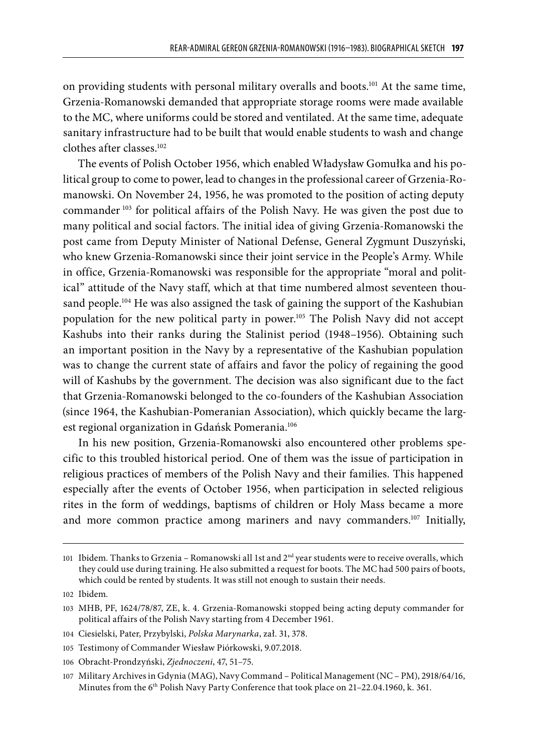on providing students with personal military overalls and boots.101 At the same time, Grzenia-Romanowski demanded that appropriate storage rooms were made available to the MC, where uniforms could be stored and ventilated. At the same time, adequate sanitary infrastructure had to be built that would enable students to wash and change clothes after classes.102

The events of Polish October 1956, which enabled Władysław Gomułka and his political group to come to power, lead to changes in the professional career of Grzenia-Romanowski. On November 24, 1956, he was promoted to the position of acting deputy commander 103 for political affairs of the Polish Navy. He was given the post due to many political and social factors. The initial idea of giving Grzenia-Romanowski the post came from Deputy Minister of National Defense, General Zygmunt Duszyński, who knew Grzenia-Romanowski since their joint service in the People's Army. While in office, Grzenia-Romanowski was responsible for the appropriate "moral and political" attitude of the Navy staff, which at that time numbered almost seventeen thousand people.<sup>104</sup> He was also assigned the task of gaining the support of the Kashubian population for the new political party in power.105 The Polish Navy did not accept Kashubs into their ranks during the Stalinist period (1948–1956). Obtaining such an important position in the Navy by a representative of the Kashubian population was to change the current state of affairs and favor the policy of regaining the good will of Kashubs by the government. The decision was also significant due to the fact that Grzenia-Romanowski belonged to the co-founders of the Kashubian Association (since 1964, the Kashubian-Pomeranian Association), which quickly became the largest regional organization in Gdańsk Pomerania.<sup>106</sup>

In his new position, Grzenia-Romanowski also encountered other problems specific to this troubled historical period. One of them was the issue of participation in religious practices of members of the Polish Navy and their families. This happened especially after the events of October 1956, when participation in selected religious rites in the form of weddings, baptisms of children or Holy Mass became a more and more common practice among mariners and navy commanders.<sup>107</sup> Initially,

<sup>101</sup> Ibidem*.* Thanks to Grzenia – Romanowski all 1st and 2nd year students were to receive overalls, which they could use during training. He also submitted a request for boots. The MC had 500 pairs of boots, which could be rented by students. It was still not enough to sustain their needs.

<sup>102</sup> Ibidem*.*

<sup>103</sup> MHB, PF, 1624/78/87, ZE, k. 4. Grzenia-Romanowski stopped being acting deputy commander for political affairs of the Polish Navy starting from 4 December 1961.

<sup>104</sup> Ciesielski, Pater, Przybylski, *Polska Marynarka*, zał. 31, 378.

<sup>105</sup> Testimony of Commander Wiesław Piórkowski, 9.07.2018.

<sup>106</sup> Obracht-Prondzyński, *Zjednoczeni*, 47, 51–75.

<sup>107</sup> Military Archives in Gdynia (MAG), Navy Command – Political Management (NC – PM), 2918/64/16, Minutes from the 6<sup>th</sup> Polish Navy Party Conference that took place on 21-22.04.1960, k. 361.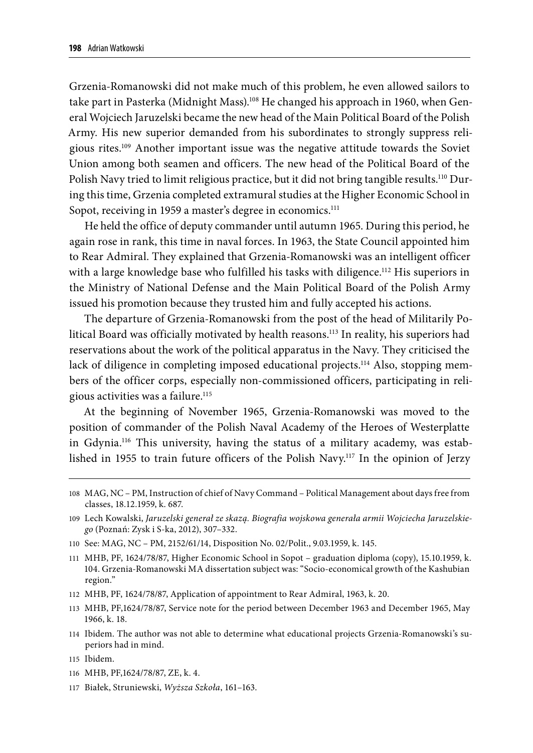Grzenia-Romanowski did not make much of this problem, he even allowed sailors to take part in Pasterka (Midnight Mass).<sup>108</sup> He changed his approach in 1960, when General Wojciech Jaruzelski became the new head of the Main Political Board of the Polish Army. His new superior demanded from his subordinates to strongly suppress religious rites.109 Another important issue was the negative attitude towards the Soviet Union among both seamen and officers. The new head of the Political Board of the Polish Navy tried to limit religious practice, but it did not bring tangible results.<sup>110</sup> During this time, Grzenia completed extramural studies at the Higher Economic School in Sopot, receiving in 1959 a master's degree in economics.<sup>111</sup>

He held the office of deputy commander until autumn 1965. During this period, he again rose in rank, this time in naval forces. In 1963, the State Council appointed him to Rear Admiral. They explained that Grzenia-Romanowski was an intelligent officer with a large knowledge base who fulfilled his tasks with diligence.<sup>112</sup> His superiors in the Ministry of National Defense and the Main Political Board of the Polish Army issued his promotion because they trusted him and fully accepted his actions.

The departure of Grzenia-Romanowski from the post of the head of Militarily Political Board was officially motivated by health reasons.<sup>113</sup> In reality, his superiors had reservations about the work of the political apparatus in the Navy. They criticised the lack of diligence in completing imposed educational projects.<sup>114</sup> Also, stopping members of the officer corps, especially non-commissioned officers, participating in religious activities was a failure.<sup>115</sup>

At the beginning of November 1965, Grzenia-Romanowski was moved to the position of commander of the Polish Naval Academy of the Heroes of Westerplatte in Gdynia.116 This university, having the status of a military academy, was established in 1955 to train future officers of the Polish Navy.<sup>117</sup> In the opinion of Jerzy

- 112 MHB, PF, 1624/78/87, Application of appointment to Rear Admiral, 1963, k. 20.
- 113 MHB, PF,1624/78/87, Service note for the period between December 1963 and December 1965, May 1966, k. 18.
- 114 Ibidem. The author was not able to determine what educational projects Grzenia-Romanowski's superiors had in mind.
- 115 Ibidem.
- 116 MHB, PF,1624/78/87, ZE, k. 4.
- 117 Białek, Struniewski, *Wyższa Szkoła*, 161–163.

<sup>108</sup> MAG, NC – PM, Instruction of chief of Navy Command – Political Management about days free from classes, 18.12.1959, k. 687.

<sup>109</sup> Lech Kowalski, *Jaruzelski generał ze skazą. Biografia wojskowa generała armii Wojciecha Jaruzelskiego* (Poznań: Zysk i S-ka, 2012), 307–332.

<sup>110</sup> See: MAG, NC – PM, 2152/61/14, Disposition No. 02/Polit., 9.03.1959, k. 145.

<sup>111</sup> MHB, PF, 1624/78/87, Higher Economic School in Sopot – graduation diploma (copy), 15.10.1959, k. 104. Grzenia-Romanowski MA dissertation subject was: "Socio-economical growth of the Kashubian region."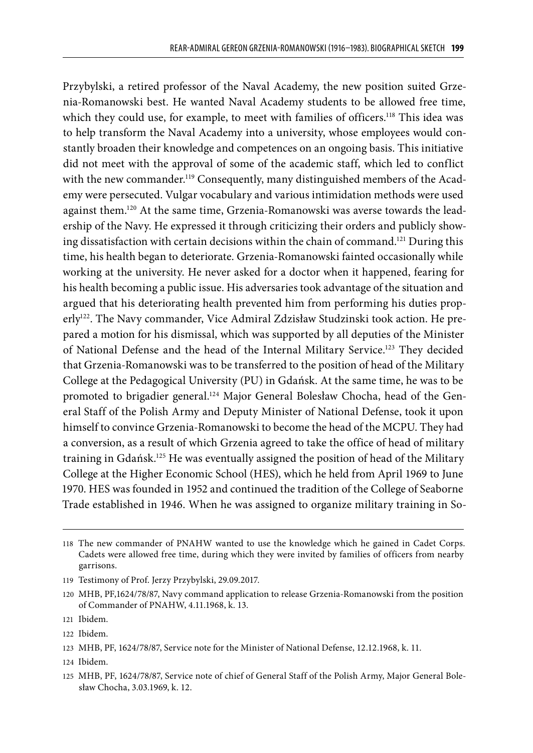Przybylski, a retired professor of the Naval Academy, the new position suited Grzenia-Romanowski best. He wanted Naval Academy students to be allowed free time, which they could use, for example, to meet with families of officers.<sup>118</sup> This idea was to help transform the Naval Academy into a university, whose employees would constantly broaden their knowledge and competences on an ongoing basis. This initiative did not meet with the approval of some of the academic staff, which led to conflict with the new commander.<sup>119</sup> Consequently, many distinguished members of the Academy were persecuted. Vulgar vocabulary and various intimidation methods were used against them.120 At the same time, Grzenia-Romanowski was averse towards the leadership of the Navy. He expressed it through criticizing their orders and publicly showing dissatisfaction with certain decisions within the chain of command.121 During this time, his health began to deteriorate. Grzenia-Romanowski fainted occasionally while working at the university. He never asked for a doctor when it happened, fearing for his health becoming a public issue. His adversaries took advantage of the situation and argued that his deteriorating health prevented him from performing his duties properly<sup>122</sup>. The Navy commander, Vice Admiral Zdzisław Studzinski took action. He prepared a motion for his dismissal, which was supported by all deputies of the Minister of National Defense and the head of the Internal Military Service.123 They decided that Grzenia-Romanowski was to be transferred to the position of head of the Military College at the Pedagogical University (PU) in Gdańsk. At the same time, he was to be promoted to brigadier general.<sup>124</sup> Major General Bolesław Chocha, head of the General Staff of the Polish Army and Deputy Minister of National Defense, took it upon himself to convince Grzenia-Romanowski to become the head of the MCPU. They had a conversion, as a result of which Grzenia agreed to take the office of head of military training in Gdańsk.<sup>125</sup> He was eventually assigned the position of head of the Military College at the Higher Economic School (HES), which he held from April 1969 to June 1970. HES was founded in 1952 and continued the tradition of the College of Seaborne Trade established in 1946. When he was assigned to organize military training in So-

<sup>118</sup> The new commander of PNAHW wanted to use the knowledge which he gained in Cadet Corps. Cadets were allowed free time, during which they were invited by families of officers from nearby garrisons.

<sup>119</sup> Testimony of Prof. Jerzy Przybylski, 29.09.2017.

<sup>120</sup> MHB, PF,1624/78/87, Navy command application to release Grzenia-Romanowski from the position of Commander of PNAHW, 4.11.1968, k. 13.

<sup>121</sup> Ibidem.

<sup>122</sup> Ibidem.

<sup>123</sup> MHB, PF, 1624/78/87, Service note for the Minister of National Defense, 12.12.1968, k. 11.

<sup>124</sup> Ibidem.

<sup>125</sup> MHB, PF, 1624/78/87, Service note of chief of General Staff of the Polish Army, Major General Bolesław Chocha, 3.03.1969, k. 12.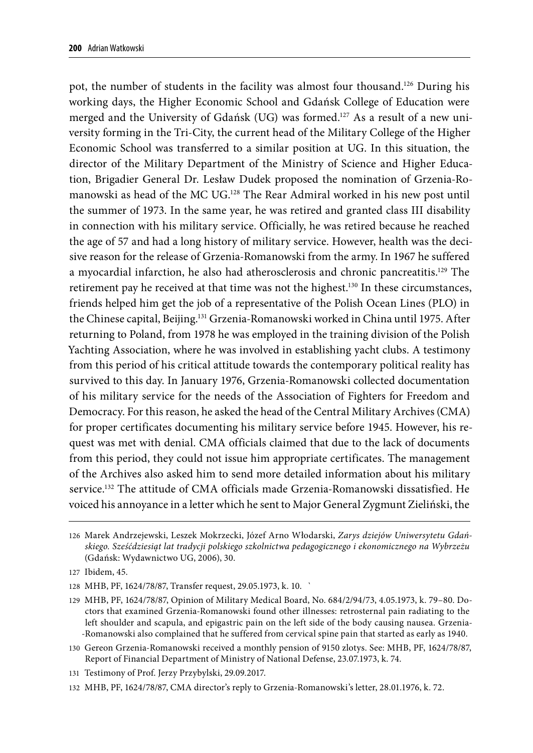pot, the number of students in the facility was almost four thousand.126 During his working days, the Higher Economic School and Gdańsk College of Education were merged and the University of Gdańsk (UG) was formed.<sup>127</sup> As a result of a new university forming in the Tri-City, the current head of the Military College of the Higher Economic School was transferred to a similar position at UG. In this situation, the director of the Military Department of the Ministry of Science and Higher Education, Brigadier General Dr. Lesław Dudek proposed the nomination of Grzenia-Romanowski as head of the MC UG.<sup>128</sup> The Rear Admiral worked in his new post until the summer of 1973. In the same year, he was retired and granted class III disability in connection with his military service. Officially, he was retired because he reached the age of 57 and had a long history of military service. However, health was the decisive reason for the release of Grzenia-Romanowski from the army. In 1967 he suffered a myocardial infarction, he also had atherosclerosis and chronic pancreatitis.129 The retirement pay he received at that time was not the highest.<sup>130</sup> In these circumstances, friends helped him get the job of a representative of the Polish Ocean Lines (PLO) in the Chinese capital, Beijing.131 Grzenia-Romanowski worked in China until 1975. After returning to Poland, from 1978 he was employed in the training division of the Polish Yachting Association, where he was involved in establishing yacht clubs. A testimony from this period of his critical attitude towards the contemporary political reality has survived to this day. In January 1976, Grzenia-Romanowski collected documentation of his military service for the needs of the Association of Fighters for Freedom and Democracy. For this reason, he asked the head of the Central Military Archives (CMA) for proper certificates documenting his military service before 1945. However, his request was met with denial. CMA officials claimed that due to the lack of documents from this period, they could not issue him appropriate certificates. The management of the Archives also asked him to send more detailed information about his military service.132 The attitude of CMA officials made Grzenia-Romanowski dissatisfied. He voiced his annoyance in a letter which he sent to Major General Zygmunt Zieliński, the

<sup>126</sup> Marek Andrzejewski, Leszek Mokrzecki, Józef Arno Włodarski, *Zarys dziejów Uniwersytetu Gdańskiego. Sześćdziesiąt lat tradycji polskiego szkolnictwa pedagogicznego i ekonomicznego na Wybrzeżu*  (Gdańsk: Wydawnictwo UG, 2006), 30.

<sup>127</sup> Ibidem, 45.

<sup>128</sup> MHB, PF, 1624/78/87, Transfer request, 29.05.1973, k. 10. `

<sup>129</sup> MHB, PF, 1624/78/87, Opinion of Military Medical Board, No. 684/2/94/73, 4.05.1973, k. 79–80. Doctors that examined Grzenia-Romanowski found other illnesses: retrosternal pain radiating to the left shoulder and scapula, and epigastric pain on the left side of the body causing nausea. Grzenia- -Romanowski also complained that he suffered from cervical spine pain that started as early as 1940.

<sup>130</sup> Gereon Grzenia-Romanowski received a monthly pension of 9150 zlotys. See: MHB, PF, 1624/78/87, Report of Financial Department of Ministry of National Defense, 23.07.1973, k. 74.

<sup>131</sup> Testimony of Prof. Jerzy Przybylski, 29.09.2017.

<sup>132</sup> MHB, PF, 1624/78/87, CMA director's reply to Grzenia-Romanowski's letter, 28.01.1976, k. 72.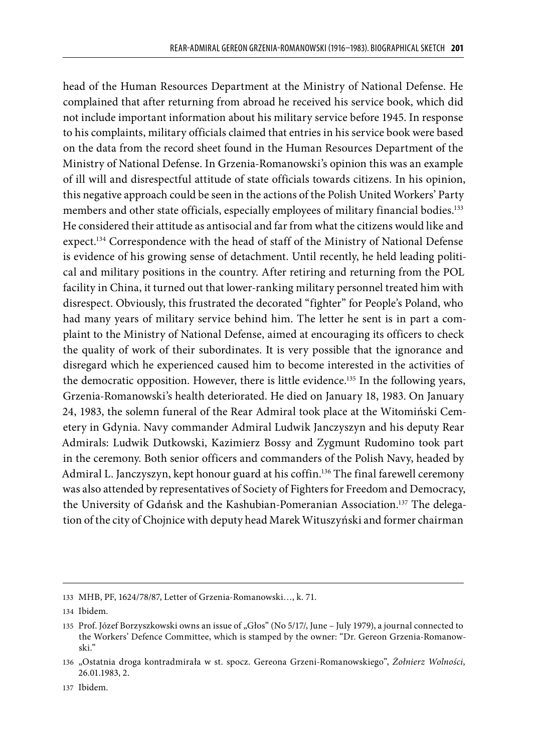head of the Human Resources Department at the Ministry of National Defense. He complained that after returning from abroad he received his service book, which did not include important information about his military service before 1945. In response to his complaints, military officials claimed that entries in his service book were based on the data from the record sheet found in the Human Resources Department of the Ministry of National Defense. In Grzenia-Romanowski's opinion this was an example of ill will and disrespectful attitude of state officials towards citizens. In his opinion, this negative approach could be seen in the actions of the Polish United Workers' Party members and other state officials, especially employees of military financial bodies.<sup>133</sup> He considered their attitude as antisocial and far from what the citizens would like and expect.134 Correspondence with the head of staff of the Ministry of National Defense is evidence of his growing sense of detachment. Until recently, he held leading political and military positions in the country. After retiring and returning from the POL facility in China, it turned out that lower-ranking military personnel treated him with disrespect. Obviously, this frustrated the decorated "fighter" for People's Poland, who had many years of military service behind him. The letter he sent is in part a complaint to the Ministry of National Defense, aimed at encouraging its officers to check the quality of work of their subordinates. It is very possible that the ignorance and disregard which he experienced caused him to become interested in the activities of the democratic opposition. However, there is little evidence.<sup>135</sup> In the following years, Grzenia-Romanowski's health deteriorated. He died on January 18, 1983. On January 24, 1983, the solemn funeral of the Rear Admiral took place at the Witomiński Cemetery in Gdynia. Navy commander Admiral Ludwik Janczyszyn and his deputy Rear Admirals: Ludwik Dutkowski, Kazimierz Bossy and Zygmunt Rudomino took part in the ceremony. Both senior officers and commanders of the Polish Navy, headed by Admiral L. Janczyszyn, kept honour guard at his coffin.<sup>136</sup> The final farewell ceremony was also attended by representatives of Society of Fighters for Freedom and Democracy, the University of Gdańsk and the Kashubian-Pomeranian Association.<sup>137</sup> The delegation of the city of Chojnice with deputy head Marek Wituszyński and former chairman

<sup>133</sup> MHB, PF, 1624/78/87, Letter of Grzenia-Romanowski…, k. 71.

<sup>134</sup> Ibidem.

<sup>135</sup> Prof. Józef Borzyszkowski owns an issue of "Głos" (No 5/17/, June – July 1979), a journal connected to the Workers' Defence Committee, which is stamped by the owner: "Dr. Gereon Grzenia-Romanowski."

<sup>136</sup> "Ostatnia droga kontradmirała w st. spocz. Gereona Grzeni-Romanowskiego", *Żołnierz Wolności*, 26.01.1983, 2.

<sup>137</sup> Ibidem.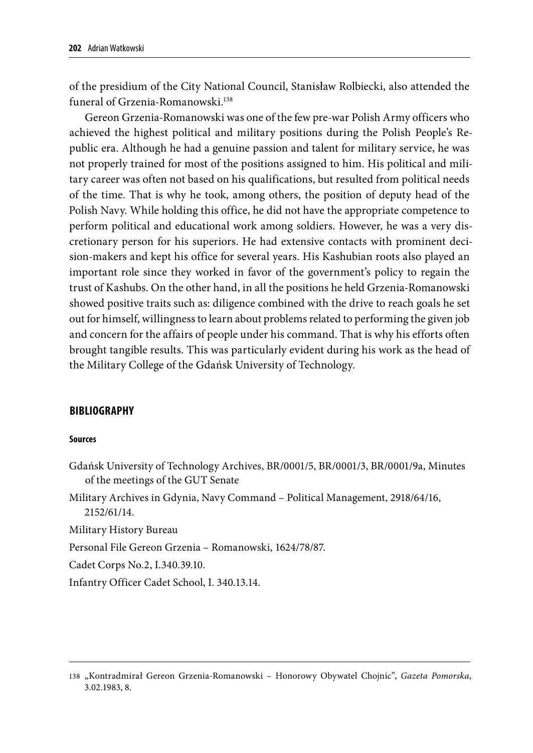of the presidium of the City National Council, Stanisław Rolbiecki, also attended the funeral of Grzenia-Romanowski.138

Gereon Grzenia-Romanowski was one of the few pre-war Polish Army officers who achieved the highest political and military positions during the Polish People's Republic era. Although he had a genuine passion and talent for military service, he was not properly trained for most of the positions assigned to him. His political and military career was often not based on his qualifications, but resulted from political needs of the time. That is why he took, among others, the position of deputy head of the Polish Navy. While holding this office, he did not have the appropriate competence to perform political and educational work among soldiers. However, he was a very discretionary person for his superiors. He had extensive contacts with prominent decision-makers and kept his office for several years. His Kashubian roots also played an important role since they worked in favor of the government's policy to regain the trust of Kashubs. On the other hand, in all the positions he held Grzenia-Romanowski showed positive traits such as: diligence combined with the drive to reach goals he set out for himself, willingness to learn about problems related to performing the given job and concern for the affairs of people under his command. That is why his efforts often brought tangible results. This was particularly evident during his work as the head of the Military College of the Gdańsk University of Technology.

### **BIBLIOGRAPHY**

#### **Sources**

Gdańsk University of Technology Archives, BR/0001/5, BR/0001/3, BR/0001/9a, Minutes of the meetings of the GUT Senate

Military Archives in Gdynia, Navy Command – Political Management, 2918/64/16, 2152/61/14.

Military History Bureau

Personal File Gereon Grzenia – Romanowski, 1624/78/87.

Cadet Corps No.2, I.340.39.10.

Infantry Officer Cadet School, I. 340.13.14.

<sup>138</sup> "Kontradmirał Gereon Grzenia-Romanowski – Honorowy Obywatel Chojnic", *Gazeta Pomorska*, 3.02.1983, 8.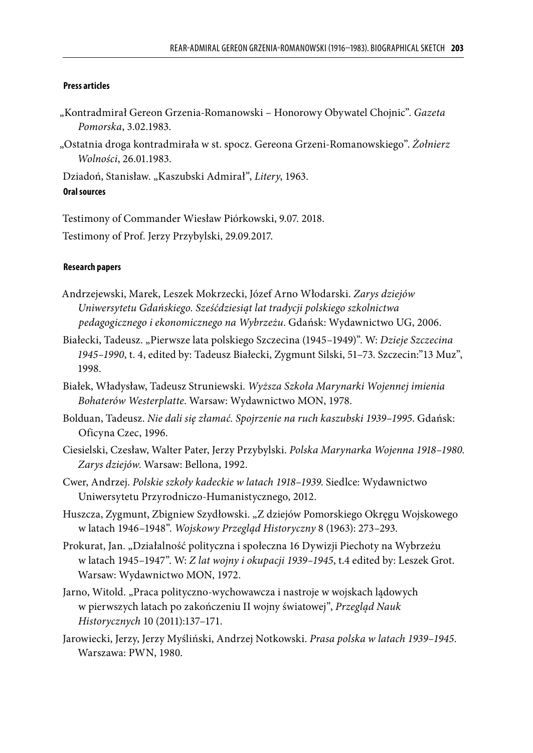#### **Press articles**

- "Kontradmirał Gereon Grzenia-Romanowski Honorowy Obywatel Chojnic". *Gazeta Pomorska*, 3.02.1983.
- "Ostatnia droga kontradmirała w st. spocz. Gereona Grzeni-Romanowskiego". *Żołnierz Wolności*, 26.01.1983.

Dziadoń, Stanisław. "Kaszubski Admirał", *Litery*, 1963.

#### **Oral sources**

Testimony of Commander Wiesław Piórkowski, 9.07. 2018.

Testimony of Prof. Jerzy Przybylski, 29.09.2017.

#### **Research papers**

- Andrzejewski, Marek, Leszek Mokrzecki, Józef Arno Włodarski. *Zarys dziejów Uniwersytetu Gdańskiego. Sześćdziesiąt lat tradycji polskiego szkolnictwa pedagogicznego i ekonomicznego na Wybrzeżu*. Gdańsk: Wydawnictwo UG, 2006.
- Białecki, Tadeusz. "Pierwsze lata polskiego Szczecina (1945–1949)". W: *Dzieje Szczecina 1945–1990*, t. 4, edited by: Tadeusz Białecki, Zygmunt Silski, 51–73. Szczecin:"13 Muz", 1998.
- Białek, Władysław, Tadeusz Struniewski. *Wyższa Szkoła Marynarki Wojennej imienia Bohaterów Westerplatte*. Warsaw: Wydawnictwo MON, 1978.
- Bolduan, Tadeusz. *Nie dali się złamać. Spojrzenie na ruch kaszubski 1939–1995*. Gdańsk: Oficyna Czec, 1996.
- Ciesielski, Czesław, Walter Pater, Jerzy Przybylski. *Polska Marynarka Wojenna 1918–1980. Zarys dziejów*. Warsaw: Bellona, 1992.
- Cwer, Andrzej. *Polskie szkoły kadeckie w latach 1918–1939*. Siedlce: Wydawnictwo Uniwersytetu Przyrodniczo-Humanistycznego, 2012.
- Huszcza, Zygmunt, Zbigniew Szydłowski. "Z dziejów Pomorskiego Okręgu Wojskowego w latach 1946–1948". *Wojskowy Przegląd Historyczny* 8 (1963): 273–293.
- Prokurat, Jan. "Działalność polityczna i społeczna 16 Dywizji Piechoty na Wybrzeżu w latach 1945–1947". W: *Z lat wojny i okupacji 1939–1945*, t.4 edited by: Leszek Grot. Warsaw: Wydawnictwo MON, 1972.
- Jarno, Witold. "Praca polityczno-wychowawcza i nastroje w wojskach lądowych w pierwszych latach po zakończeniu II wojny światowej", *Przegląd Nauk Historycznych* 10 (2011):137–171.
- Jarowiecki, Jerzy, Jerzy Myśliński, Andrzej Notkowski. *Prasa polska w latach 1939–1945*. Warszawa: PWN, 1980.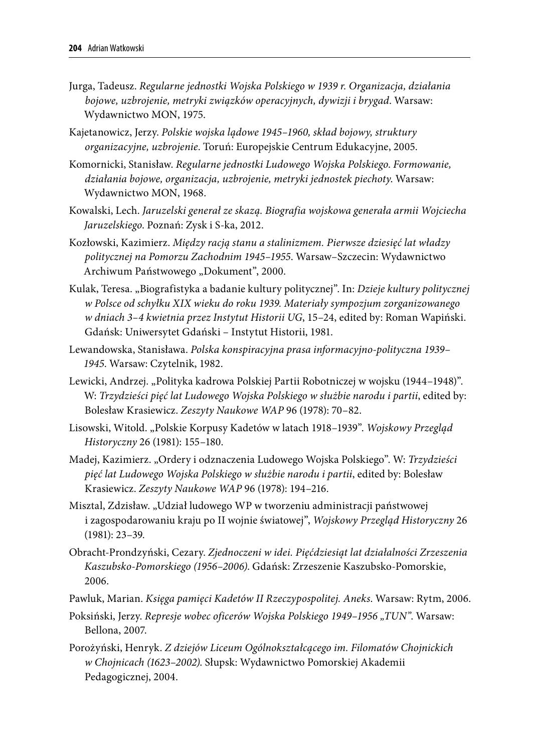- Jurga, Tadeusz. *Regularne jednostki Wojska Polskiego w 1939 r. Organizacja, działania bojowe, uzbrojenie, metryki związków operacyjnych, dywizji i brygad*. Warsaw: Wydawnictwo MON, 1975.
- Kajetanowicz, Jerzy. *Polskie wojska lądowe 1945–1960, skład bojowy, struktury organizacyjne, uzbrojenie*. Toruń: Europejskie Centrum Edukacyjne, 2005.
- Komornicki, Stanisław. *Regularne jednostki Ludowego Wojska Polskiego*. *Formowanie, działania bojowe, organizacja, uzbrojenie, metryki jednostek piechoty*. Warsaw: Wydawnictwo MON, 1968.
- Kowalski, Lech. *Jaruzelski generał ze skazą. Biografia wojskowa generała armii Wojciecha Jaruzelskiego*. Poznań: Zysk i S-ka, 2012.
- Kozłowski, Kazimierz. *Między racją stanu a stalinizmem. Pierwsze dziesięć lat władzy politycznej na Pomorzu Zachodnim 1945–1955*. Warsaw–Szczecin: Wydawnictwo Archiwum Państwowego "Dokument", 2000.
- Kulak, Teresa. "Biografistyka a badanie kultury politycznej". In: *Dzieje kultury politycznej w Polsce od schyłku XIX wieku do roku 1939. Materiały sympozjum zorganizowanego w dniach 3–4 kwietnia przez Instytut Historii UG*, 15–24, edited by: Roman Wapiński. Gdańsk: Uniwersytet Gdański – Instytut Historii, 1981.
- Lewandowska, Stanisława. *Polska konspiracyjna prasa informacyjno-polityczna 1939– 1945*. Warsaw: Czytelnik, 1982.
- Lewicki, Andrzej. "Polityka kadrowa Polskiej Partii Robotniczej w wojsku (1944–1948)". W: *Trzydzieści pięć lat Ludowego Wojska Polskiego w służbie narodu i partii*, edited by: Bolesław Krasiewicz. *Zeszyty Naukowe WAP* 96 (1978): 70–82.
- Lisowski, Witold. "Polskie Korpusy Kadetów w latach 1918–1939". *Wojskowy Przegląd Historyczny* 26 (1981): 155–180.
- Madej, Kazimierz. "Ordery i odznaczenia Ludowego Wojska Polskiego". W: *Trzydzieści pięć lat Ludowego Wojska Polskiego w służbie narodu i partii*, edited by: Bolesław Krasiewicz. *Zeszyty Naukowe WAP* 96 (1978): 194–216.
- Misztal, Zdzisław. "Udział ludowego WP w tworzeniu administracji państwowej i zagospodarowaniu kraju po II wojnie światowej", *Wojskowy Przegląd Historyczny* 26 (1981): 23–39.
- Obracht-Prondzyński, Cezary. *Zjednoczeni w idei. Pięćdziesiąt lat działalności Zrzeszenia Kaszubsko-Pomorskiego (1956–2006)*. Gdańsk: Zrzeszenie Kaszubsko-Pomorskie, 2006.
- Pawluk, Marian. *Księga pamięci Kadetów II Rzeczypospolitej. Aneks*. Warsaw: Rytm, 2006.
- Poksiński, Jerzy. *Represje wobec oficerów Wojska Polskiego 1949–1956 "TUN"*. Warsaw: Bellona, 2007.
- Porożyński, Henryk. *Z dziejów Liceum Ogólnokształcącego im. Filomatów Chojnickich w Chojnicach (1623–2002)*. Słupsk: Wydawnictwo Pomorskiej Akademii Pedagogicznej, 2004.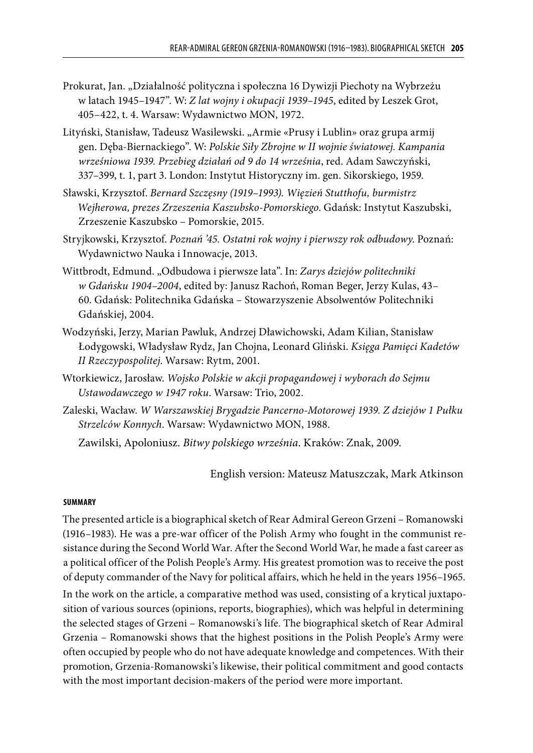- Prokurat, Jan. "Działalność polityczna i społeczna 16 Dywizji Piechoty na Wybrzeżu w latach 1945–1947". W: *Z lat wojny i okupacji 1939–1945*, edited by Leszek Grot, 405–422, t. 4. Warsaw: Wydawnictwo MON, 1972.
- Lityński, Stanisław, Tadeusz Wasilewski. "Armie «Prusy i Lublin» oraz grupa armij gen. Dęba-Biernackiego". W: *Polskie Siły Zbrojne w II wojnie światowej. Kampania wrześniowa 1939. Przebieg działań od 9 do 14 września*, red. Adam Sawczyński, 337–399, t. 1, part 3. London: Instytut Historyczny im. gen. Sikorskiego, 1959.
- Sławski, Krzysztof. *Bernard Szczęsny (1919–1993). Więzień Stutthofu, burmistrz Wejherowa, prezes Zrzeszenia Kaszubsko-Pomorskiego*. Gdańsk: Instytut Kaszubski, Zrzeszenie Kaszubsko – Pomorskie, 2015.
- Stryjkowski, Krzysztof. *Poznań '45. Ostatni rok wojny i pierwszy rok odbudowy*. Poznań: Wydawnictwo Nauka i Innowacje, 2013.
- Wittbrodt, Edmund. "Odbudowa i pierwsze lata". In: *Zarys dziejów politechniki w Gdańsku 1904–2004*, edited by: Janusz Rachoń, Roman Beger, Jerzy Kulas, 43– 60. Gdańsk: Politechnika Gdańska – Stowarzyszenie Absolwentów Politechniki Gdańskiej, 2004.
- Wodzyński, Jerzy, Marian Pawluk, Andrzej Dławichowski, Adam Kilian, Stanisław Łodygowski, Władysław Rydz, Jan Chojna, Leonard Gliński. *Księga Pamięci Kadetów II Rzeczypospolitej*. Warsaw: Rytm, 2001.
- Wtorkiewicz, Jarosław. *Wojsko Polskie w akcji propagandowej i wyborach do Sejmu Ustawodawczego w 1947 roku*. Warsaw: Trio, 2002.
- Zaleski, Wacław. *W Warszawskiej Brygadzie Pancerno-Motorowej 1939. Z dziejów 1 Pułku Strzelców Konnych*. Warsaw: Wydawnictwo MON, 1988.

Zawilski, Apoloniusz. *Bitwy polskiego września*. Kraków: Znak, 2009.

English version: Mateusz Matuszczak, Mark Atkinson

#### **SUMMARY**

The presented article is a biographical sketch of Rear Admiral Gereon Grzeni – Romanowski (1916–1983). He was a pre-war officer of the Polish Army who fought in the communist resistance during the Second World War. After the Second World War, he made a fast career as a political officer of the Polish People's Army. His greatest promotion was to receive the post of deputy commander of the Navy for political affairs, which he held in the years 1956–1965. In the work on the article, a comparative method was used, consisting of a krytical juxtapo-

sition of various sources (opinions, reports, biographies), which was helpful in determining the selected stages of Grzeni – Romanowski's life. The biographical sketch of Rear Admiral Grzenia – Romanowski shows that the highest positions in the Polish People's Army were often occupied by people who do not have adequate knowledge and competences. With their promotion, Grzenia-Romanowski's likewise, their political commitment and good contacts with the most important decision-makers of the period were more important.